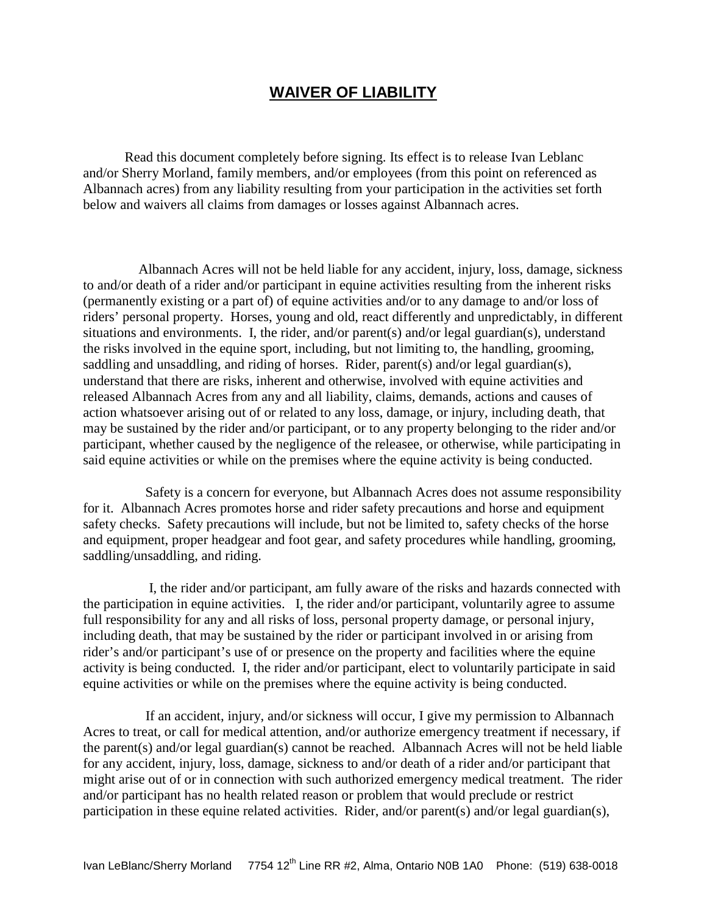## **WAIVER OF LIABILITY**

 Read this document completely before signing. Its effect is to release Ivan Leblanc and/or Sherry Morland, family members, and/or employees (from this point on referenced as Albannach acres) from any liability resulting from your participation in the activities set forth below and waivers all claims from damages or losses against Albannach acres.

 Albannach Acres will not be held liable for any accident, injury, loss, damage, sickness to and/or death of a rider and/or participant in equine activities resulting from the inherent risks (permanently existing or a part of) of equine activities and/or to any damage to and/or loss of riders' personal property. Horses, young and old, react differently and unpredictably, in different situations and environments. I, the rider, and/or parent(s) and/or legal guardian(s), understand the risks involved in the equine sport, including, but not limiting to, the handling, grooming, saddling and unsaddling, and riding of horses. Rider, parent(s) and/or legal guardian(s), understand that there are risks, inherent and otherwise, involved with equine activities and released Albannach Acres from any and all liability, claims, demands, actions and causes of action whatsoever arising out of or related to any loss, damage, or injury, including death, that may be sustained by the rider and/or participant, or to any property belonging to the rider and/or participant, whether caused by the negligence of the releasee, or otherwise, while participating in said equine activities or while on the premises where the equine activity is being conducted.

 Safety is a concern for everyone, but Albannach Acres does not assume responsibility for it. Albannach Acres promotes horse and rider safety precautions and horse and equipment safety checks. Safety precautions will include, but not be limited to, safety checks of the horse and equipment, proper headgear and foot gear, and safety procedures while handling, grooming, saddling/unsaddling, and riding.

 I, the rider and/or participant, am fully aware of the risks and hazards connected with the participation in equine activities. I, the rider and/or participant, voluntarily agree to assume full responsibility for any and all risks of loss, personal property damage, or personal injury, including death, that may be sustained by the rider or participant involved in or arising from rider's and/or participant's use of or presence on the property and facilities where the equine activity is being conducted. I, the rider and/or participant, elect to voluntarily participate in said equine activities or while on the premises where the equine activity is being conducted.

 If an accident, injury, and/or sickness will occur, I give my permission to Albannach Acres to treat, or call for medical attention, and/or authorize emergency treatment if necessary, if the parent(s) and/or legal guardian(s) cannot be reached. Albannach Acres will not be held liable for any accident, injury, loss, damage, sickness to and/or death of a rider and/or participant that might arise out of or in connection with such authorized emergency medical treatment. The rider and/or participant has no health related reason or problem that would preclude or restrict participation in these equine related activities. Rider, and/or parent(s) and/or legal guardian(s),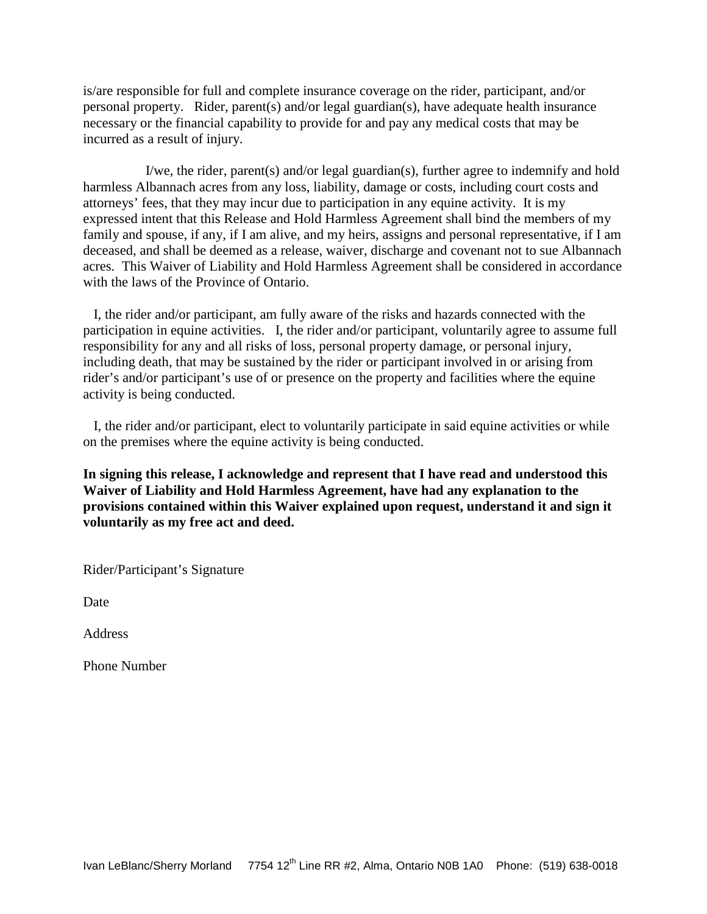is/are responsible for full and complete insurance coverage on the rider, participant, and/or personal property. Rider, parent(s) and/or legal guardian(s), have adequate health insurance necessary or the financial capability to provide for and pay any medical costs that may be incurred as a result of injury.

 I/we, the rider, parent(s) and/or legal guardian(s), further agree to indemnify and hold harmless Albannach acres from any loss, liability, damage or costs, including court costs and attorneys' fees, that they may incur due to participation in any equine activity. It is my expressed intent that this Release and Hold Harmless Agreement shall bind the members of my family and spouse, if any, if I am alive, and my heirs, assigns and personal representative, if I am deceased, and shall be deemed as a release, waiver, discharge and covenant not to sue Albannach acres. This Waiver of Liability and Hold Harmless Agreement shall be considered in accordance with the laws of the Province of Ontario.

I, the rider and/or participant, am fully aware of the risks and hazards connected with the participation in equine activities. I, the rider and/or participant, voluntarily agree to assume full responsibility for any and all risks of loss, personal property damage, or personal injury, including death, that may be sustained by the rider or participant involved in or arising from rider's and/or participant's use of or presence on the property and facilities where the equine activity is being conducted.

 I, the rider and/or participant, elect to voluntarily participate in said equine activities or while on the premises where the equine activity is being conducted.

**In signing this release, I acknowledge and represent that I have read and understood this Waiver of Liability and Hold Harmless Agreement, have had any explanation to the provisions contained within this Waiver explained upon request, understand it and sign it voluntarily as my free act and deed.**

Rider/Participant's Signature

Date

Address

Phone Number